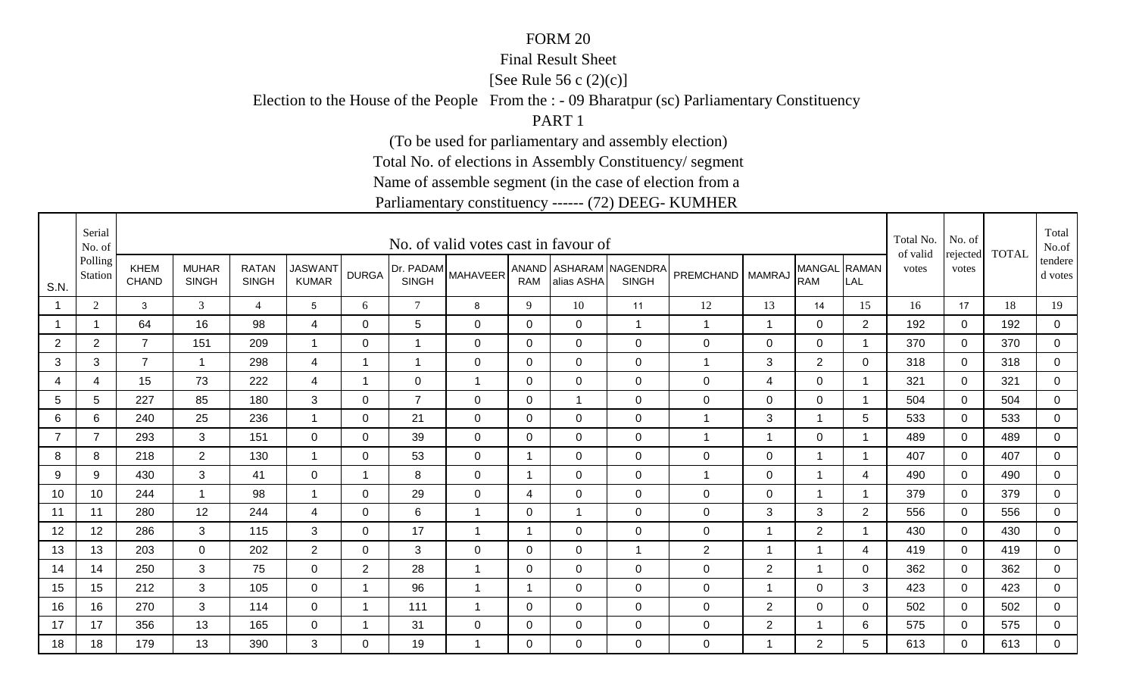#### Final Result Sheet

[See Rule 56 c (2)(c)]

Election to the House of the People From the : - 09 Bharatpur (sc) Parliamentary Constituency

PART 1

(To be used for parliamentary and assembly election)

Total No. of elections in Assembly Constituency/ segment

Name of assemble segment (in the case of election from a

|                | Serial<br>No. of   |                      |                              |                              |                                |                         |                | No. of valid votes cast in favour of    |                |                |                                        |                    |                |                            |              | Total No.<br>of valid | No. of            | <b>TOTAL</b> | Total<br>No.of     |
|----------------|--------------------|----------------------|------------------------------|------------------------------|--------------------------------|-------------------------|----------------|-----------------------------------------|----------------|----------------|----------------------------------------|--------------------|----------------|----------------------------|--------------|-----------------------|-------------------|--------------|--------------------|
| S.N.           | Polling<br>Station | KHEM<br><b>CHAND</b> | <b>MUHAR</b><br><b>SINGH</b> | <b>RATAN</b><br><b>SINGH</b> | <b>JASWANT</b><br><b>KUMAR</b> | <b>DURGA</b>            | <b>SINGH</b>   | <b>IDr. PADAM</b> MAHAVEER <sup>I</sup> | <b>RAM</b>     | alias ASHA     | ANAND ASHARAM NAGENDRA<br><b>SINGH</b> | PREMCHAND   MAMRAJ |                | MANGAL RAMAN<br><b>RAM</b> | LAL          | votes                 | rejected<br>votes |              | tendere<br>d votes |
|                | $\overline{2}$     | 3                    | 3                            | $\overline{4}$               | $5^{\circ}$                    | 6                       | $\tau$         | 8                                       | 9              | 10             | 11                                     | 12                 | 13             | 14                         | 15           | 16                    | 17                | 18           | 19                 |
|                | $\overline{1}$     | 64                   | 16                           | 98                           | 4                              | $\Omega$                | 5              | $\mathbf 0$                             | $\mathbf 0$    | $\Omega$       | $\mathbf{1}$                           | $\mathbf{1}$       | $\overline{1}$ | $\mathbf 0$                | 2            | 192                   | $\Omega$          | 192          | $\mathbf 0$        |
| $\overline{2}$ | $\overline{2}$     | $\overline{7}$       | 151                          | 209                          | $\mathbf{1}$                   | 0                       | $\mathbf{1}$   | 0                                       | 0              | $\mathbf 0$    | $\mathbf 0$                            | 0                  | $\mathbf 0$    | $\mathbf 0$                | -1           | 370                   | 0                 | 370          | $\mathbf 0$        |
| $\sqrt{3}$     | 3                  | $\overline{7}$       | -1                           | 298                          | $\overline{4}$                 | $\overline{ }$          | $\overline{1}$ | $\mathbf 0$                             | $\mathbf 0$    | $\overline{0}$ | $\overline{0}$                         | 1                  | 3              | $\overline{2}$             | 0            | 318                   | $\mathbf 0$       | 318          | $\mathbf 0$        |
| 4              | $\overline{4}$     | 15                   | 73                           | 222                          | 4                              | -1                      | $\overline{0}$ | $\mathbf{1}$                            | $\overline{0}$ | $\overline{0}$ | $\overline{0}$                         | 0                  | 4              | $\mathbf 0$                | -1           | 321                   | $\Omega$          | 321          | $\mathbf 0$        |
| 5              | $5\phantom{.0}$    | 227                  | 85                           | 180                          | $\mathbf{3}$                   | 0                       | $\overline{7}$ | $\mathbf 0$                             | $\mathbf 0$    | $\overline{1}$ | $\mathbf 0$                            | 0                  | $\mathbf 0$    | $\mathbf 0$                | $\mathbf 1$  | 504                   | $\mathbf 0$       | 504          | $\mathbf 0$        |
| 6              | 6                  | 240                  | 25                           | 236                          | $\overline{\mathbf{1}}$        | 0                       | 21             | $\mathbf 0$                             | $\mathbf 0$    | $\overline{0}$ | $\overline{0}$                         | $\overline{1}$     | 3              | $\overline{1}$             | 5            | 533                   | $\mathbf 0$       | 533          | $\mathbf 0$        |
| $\overline{7}$ | $\overline{7}$     | 293                  | 3                            | 151                          | $\mathbf 0$                    | 0                       | 39             | 0                                       | 0              | $\mathbf 0$    | $\mathbf 0$                            | $\overline{1}$     | 1              | $\mathbf 0$                | 1            | 489                   | 0                 | 489          | $\mathbf 0$        |
| 8              | 8                  | 218                  | $\overline{2}$               | 130                          | -1                             | 0                       | 53             | 0                                       | 1              | 0              | 0                                      | 0                  | 0              | $\mathbf 1$                |              | 407                   | $\Omega$          | 407          | 0                  |
| 9              | 9                  | 430                  | 3                            | 41                           | $\mathbf 0$                    | $\overline{\mathbf{A}}$ | 8              | 0                                       | $\overline{1}$ | $\Omega$       | $\overline{0}$                         | $\overline{1}$     | 0              | $\overline{1}$             | 4            | 490                   | $\Omega$          | 490          | $\mathbf 0$        |
| 10             | 10                 | 244                  | $\overline{1}$               | 98                           | $\overline{1}$                 | $\Omega$                | 29             | 0                                       | $\overline{4}$ | $\Omega$       | $\overline{0}$                         | 0                  | $\mathbf 0$    | $\mathbf{1}$               |              | 379                   | $\Omega$          | 379          | $\mathbf 0$        |
| 11             | 11                 | 280                  | 12                           | 244                          | 4                              | 0                       | 6              | $\overline{1}$                          | 0              | -1             | $\overline{0}$                         | 0                  | 3              | 3                          | 2            | 556                   | $\Omega$          | 556          | 0                  |
| 12             | 12                 | 286                  | 3                            | 115                          | 3                              | 0                       | 17             | -1                                      | 1              | $\mathbf 0$    | $\mathbf 0$                            | 0                  | 1              | $\overline{2}$             |              | 430                   | 0                 | 430          | $\mathbf 0$        |
| 13             | 13                 | 203                  | 0                            | 202                          | $\overline{2}$                 | 0                       | 3              | 0                                       | 0              | 0              | $\mathbf{1}$                           | $\overline{2}$     | -1             | $\overline{1}$             | 4            | 419                   | $\Omega$          | 419          | $\mathbf 0$        |
| 14             | 14                 | 250                  | 3                            | 75                           | $\mathbf 0$                    | $\overline{2}$          | 28             | 1                                       | 0              | $\mathbf 0$    | $\mathbf 0$                            | 0                  | $\overline{2}$ | $\overline{1}$             | $\mathbf{0}$ | 362                   | $\Omega$          | 362          | $\mathbf 0$        |
| 15             | 15                 | 212                  | 3                            | 105                          | 0                              | 1                       | 96             | $\overline{1}$                          | 1              | 0              | $\mathbf 0$                            | 0                  | 1              | $\mathbf 0$                | 3            | 423                   | 0                 | 423          | 0                  |
| 16             | 16                 | 270                  | 3                            | 114                          | $\mathbf 0$                    | -1                      | 111            | $\overline{\mathbf{1}}$                 | $\mathbf 0$    | $\mathbf 0$    | $\mathbf 0$                            | 0                  | $\overline{2}$ | $\mathbf 0$                | 0            | 502                   | 0                 | 502          | 0                  |
| 17             | 17                 | 356                  | 13                           | 165                          | 0                              |                         | 31             | 0                                       | $\mathbf 0$    | $\mathbf 0$    | $\mathbf 0$                            | 0                  | $\overline{2}$ | $\mathbf 1$                | 6            | 575                   | 0                 | 575          | $\overline{0}$     |
| 18             | 18                 | 179                  | 13                           | 390                          | 3                              | $\Omega$                | 19             | -1                                      | $\Omega$       | $\Omega$       | $\overline{0}$                         | 0                  | -1             | $\overline{2}$             | 5            | 613                   | $\Omega$          | 613          | $\overline{0}$     |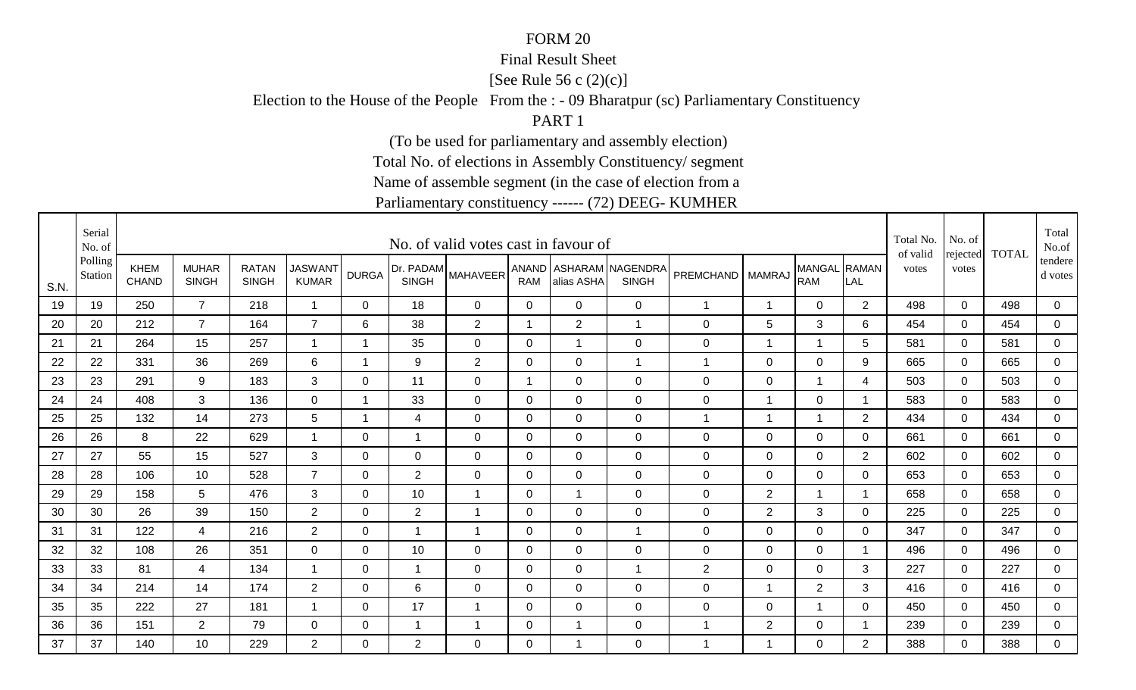#### Final Result Sheet

[See Rule 56 c (2)(c)]

Election to the House of the People From the : - 09 Bharatpur (sc) Parliamentary Constituency

PART 1

(To be used for parliamentary and assembly election)

Total No. of elections in Assembly Constituency/ segment

Name of assemble segment (in the case of election from a

|      | Serial<br>No. of   |                      |                              |                              |                                |                |                | No. of valid votes cast in favour of |                |                |                                          |                    |                          |                            |              | Total No.<br>of valid | No. of            | <b>TOTAL</b> | Total<br>No.of     |
|------|--------------------|----------------------|------------------------------|------------------------------|--------------------------------|----------------|----------------|--------------------------------------|----------------|----------------|------------------------------------------|--------------------|--------------------------|----------------------------|--------------|-----------------------|-------------------|--------------|--------------------|
| S.N. | Polling<br>Station | KHEM<br><b>CHAND</b> | <b>MUHAR</b><br><b>SINGH</b> | <b>RATAN</b><br><b>SINGH</b> | <b>JASWANT</b><br><b>KUMAR</b> | <b>DURGA</b>   | <b>SINGH</b>   | [Dr. PADAM MAHAVEER'                 | <b>RAM</b>     | alias ASHA     | ANAND   ASHARAM NAGENDRA<br><b>SINGH</b> | PREMCHAND   MAMRAJ |                          | MANGAL RAMAN<br><b>RAM</b> | LAL          | votes                 | rejected<br>votes |              | tendere<br>d votes |
| 19   | 19                 | 250                  | $\overline{7}$               | 218                          | $\overline{1}$                 | 0              | 18             | 0                                    | 0              | $\mathbf 0$    | $\mathbf 0$                              | $\overline{1}$     | 1                        | $\mathbf 0$                | 2            | 498                   | $\mathbf 0$       | 498          | 0                  |
| 20   | 20                 | 212                  | $\overline{7}$               | 164                          | $\overline{7}$                 | 6              | 38             | $\overline{2}$                       | $\overline{1}$ | $\overline{2}$ | $\mathbf{1}$                             | 0                  | 5                        | $\mathfrak{S}$             | 6            | 454                   | $\mathbf 0$       | 454          | $\mathsf 0$        |
| 21   | 21                 | 264                  | 15                           | 257                          | $\mathbf{1}$                   | -1             | 35             | 0                                    | 0              | -1             | $\mathbf 0$                              | 0                  | 1                        | $\mathbf 1$                | 5            | 581                   | 0                 | 581          | $\mathbf 0$        |
| 22   | 22                 | 331                  | 36                           | 269                          | 6                              |                | 9              | $\overline{2}$                       | $\mathbf 0$    | $\Omega$       | $\overline{1}$                           | 1                  | $\mathsf 0$              | $\mathbf 0$                | 9            | 665                   | $\mathbf 0$       | 665          | $\mathbf 0$        |
| 23   | 23                 | 291                  | 9                            | 183                          | 3                              | $\Omega$       | 11             | $\mathbf 0$                          | $\overline{1}$ | $\overline{0}$ | $\mathbf 0$                              | 0                  | $\mathsf 0$              | $\overline{1}$             | 4            | 503                   | $\Omega$          | 503          | $\mathbf 0$        |
| 24   | 24                 | 408                  | $\mathbf{3}$                 | 136                          | $\overline{0}$                 | $\overline{ }$ | 33             | $\mathbf 0$                          | $\mathbf 0$    | $\mathbf 0$    | $\mathbf 0$                              | 0                  | 1                        | $\mathbf 0$                | $\mathbf 1$  | 583                   | $\mathbf 0$       | 583          | $\mathbf 0$        |
| 25   | 25                 | 132                  | 14                           | 273                          | 5                              | $\overline{ }$ | $\overline{4}$ | $\mathbf 0$                          | $\mathbf 0$    | $\overline{0}$ | $\mathbf 0$                              | $\overline{1}$     | $\overline{\phantom{a}}$ | $\overline{1}$             | 2            | 434                   | $\Omega$          | 434          | $\mathbf 0$        |
| 26   | 26                 | 8                    | 22                           | 629                          | $\mathbf{1}$                   | 0              | $\mathbf{1}$   | 0                                    | 0              | $\mathbf 0$    | $\mathbf 0$                              | 0                  | $\mathbf 0$              | $\mathbf 0$                | 0            | 661                   | 0                 | 661          | $\mathbf 0$        |
| 27   | 27                 | 55                   | 15                           | 527                          | 3                              | 0              | $\Omega$       | 0                                    | 0              | 0              | 0                                        | 0                  | 0                        | $\mathbf 0$                | 2            | 602                   | $\Omega$          | 602          | 0                  |
| 28   | 28                 | 106                  | 10                           | 528                          | $\overline{7}$                 | $\Omega$       | $\overline{2}$ | 0                                    | $\Omega$       | $\Omega$       | $\mathbf 0$                              | 0                  | 0                        | $\mathbf 0$                | $\mathbf{0}$ | 653                   | $\Omega$          | 653          | 0                  |
| 29   | 29                 | 158                  | 5                            | 476                          | 3                              | $\Omega$       | 10             | $\overline{1}$                       | 0              | $\overline{1}$ | $\mathbf 0$                              | 0                  | $\overline{2}$           | $\mathbf{1}$               | -1           | 658                   | $\Omega$          | 658          | $\mathbf 0$        |
| 30   | 30                 | 26                   | 39                           | 150                          | $\overline{2}$                 | 0              | $\overline{2}$ | $\overline{1}$                       | 0              | $\mathbf 0$    | $\mathbf 0$                              | 0                  | $\overline{2}$           | 3                          | 0            | 225                   | $\Omega$          | 225          | 0                  |
| 31   | 31                 | 122                  | $\overline{4}$               | 216                          | $\overline{2}$                 | 0              | $\mathbf{1}$   | 1                                    | 0              | $\mathbf 0$    | $\overline{1}$                           | 0                  | $\mathbf 0$              | $\mathbf 0$                | $\mathbf 0$  | 347                   | 0                 | 347          | $\mathbf 0$        |
| 32   | 32                 | 108                  | 26                           | 351                          | $\mathbf 0$                    | 0              | 10             | 0                                    | 0              | 0              | $\mathbf 0$                              | 0                  | 0                        | $\mathbf 0$                | 1            | 496                   | $\Omega$          | 496          | $\mathbf 0$        |
| 33   | 33                 | 81                   | 4                            | 134                          | $\overline{1}$                 | 0              | $\mathbf{1}$   | $\mathbf 0$                          | 0              | $\mathbf 0$    | $\mathbf{1}$                             | $\overline{2}$     | $\mathbf 0$              | $\mathbf 0$                | 3            | 227                   | $\Omega$          | 227          | $\mathbf 0$        |
| 34   | 34                 | 214                  | 14                           | 174                          | $\overline{2}$                 | 0              | 6              | $\mathbf 0$                          | $\mathbf 0$    | 0              | $\mathbf 0$                              | 0                  | 1                        | $\overline{2}$             | 3            | 416                   | 0                 | 416          | 0                  |
| 35   | 35                 | 222                  | 27                           | 181                          | -1                             | 0              | 17             | $\overline{\mathbf{1}}$              | 0              | $\mathbf 0$    | $\mathbf 0$                              | 0                  | $\mathsf 0$              | $\overline{1}$             | 0            | 450                   | $\Omega$          | 450          | 0                  |
| 36   | 36                 | 151                  | $\overline{2}$               | 79                           | $\mathbf 0$                    | 0              | $\mathbf 1$    | $\overline{\phantom{a}}$             | $\mathbf 0$    | -1             | $\mathbf 0$                              | 1                  | $\overline{2}$           | $\mathbf 0$                |              | 239                   | 0                 | 239          | $\overline{0}$     |
| 37   | 37                 | 140                  | 10 <sup>°</sup>              | 229                          | $2^{\circ}$                    | $\Omega$       | 2              | $\Omega$                             | $\Omega$       | -1             | $\mathbf 0$                              | 1                  | -1                       | $\overline{0}$             | 2            | 388                   | $\Omega$          | 388          | 0                  |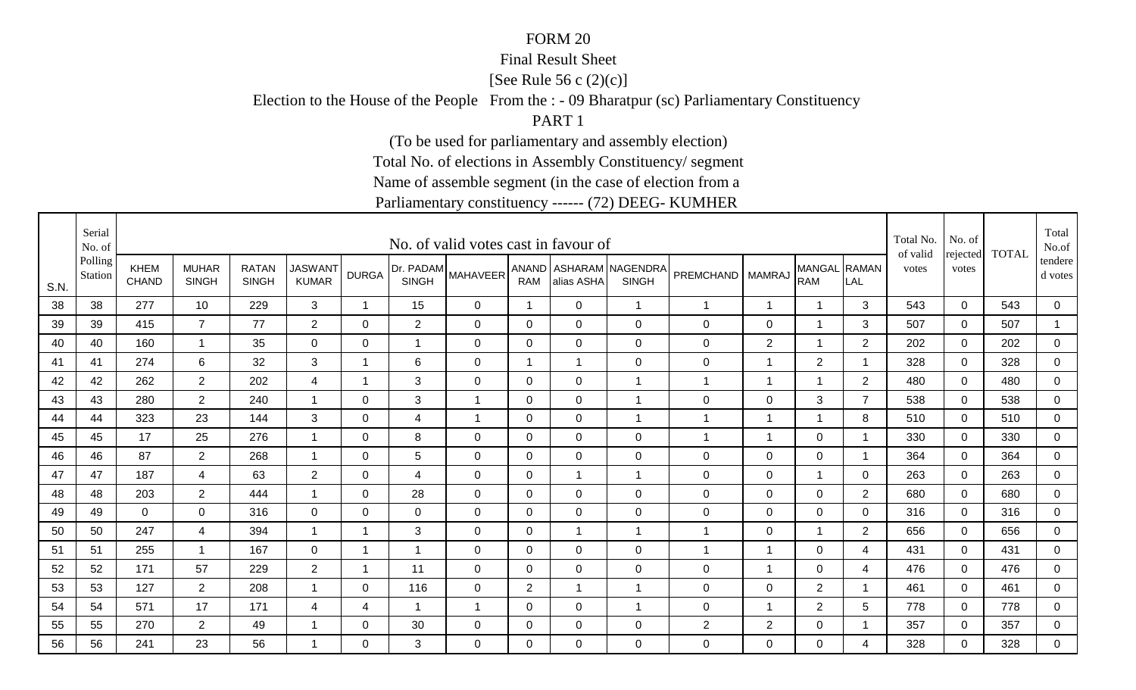#### Final Result Sheet

[See Rule 56 c (2)(c)]

Election to the House of the People From the : - 09 Bharatpur (sc) Parliamentary Constituency

PART 1

(To be used for parliamentary and assembly election)

Total No. of elections in Assembly Constituency/ segment

Name of assemble segment (in the case of election from a

|      | Serial<br>No. of   |                      |                              |                              |                                |                         |                | No. of valid votes cast in favour of |                |                |                                          |                      |                          |                            |                | Total No.<br>of valid | No. of            | <b>TOTAL</b> | Total<br>No.of     |
|------|--------------------|----------------------|------------------------------|------------------------------|--------------------------------|-------------------------|----------------|--------------------------------------|----------------|----------------|------------------------------------------|----------------------|--------------------------|----------------------------|----------------|-----------------------|-------------------|--------------|--------------------|
| S.N. | Polling<br>Station | KHEM<br><b>CHAND</b> | <b>MUHAR</b><br><b>SINGH</b> | <b>RATAN</b><br><b>SINGH</b> | <b>JASWANT</b><br><b>KUMAR</b> | <b>DURGA</b>            | <b>SINGH</b>   | [Dr. PADAM MAHAVEER'                 | <b>RAM</b>     | alias ASHA     | ANAND   ASHARAM NAGENDRA<br><b>SINGH</b> | PREMCHAND   MAMRAJ   |                          | MANGAL RAMAN<br><b>RAM</b> | LAL            | votes                 | rejected<br>votes |              | tendere<br>d votes |
| 38   | 38                 | 277                  | 10                           | 229                          | 3                              | $\overline{\mathbf{1}}$ | 15             | 0                                    | $\overline{1}$ | $\mathbf 0$    | $\mathbf{1}$                             | $\overline{1}$       | 1                        | $\overline{1}$             | 3              | 543                   | $\mathbf 0$       | 543          | $\mathbf 0$        |
| 39   | 39                 | 415                  | $\overline{7}$               | 77                           | 2                              | $\Omega$                | $\overline{2}$ | $\mathbf 0$                          | 0              | $\Omega$       | $\mathbf 0$                              | 0                    | $\mathsf 0$              | $\overline{1}$             | 3              | 507                   | $\mathbf 0$       | 507          | $\overline{1}$     |
| 40   | 40                 | 160                  | $\overline{\mathbf{1}}$      | 35                           | $\mathbf 0$                    | 0                       | $\mathbf{1}$   | 0                                    | 0              | $\mathbf 0$    | $\mathbf 0$                              | 0                    | $\overline{2}$           | $\mathbf 1$                | $\overline{2}$ | 202                   | 0                 | 202          | $\mathbf 0$        |
| 41   | 41                 | 274                  | 6                            | 32                           | 3                              |                         | 6              | $\mathbf 0$                          | $\mathbf 1$    | -1             | $\overline{0}$                           | 0                    | 1                        | $\overline{2}$             |                | 328                   | $\mathbf 0$       | 328          | $\mathbf 0$        |
| 42   | 42                 | 262                  | $\overline{2}$               | 202                          | 4                              | -1                      | 3              | $\mathbf 0$                          | $\Omega$       | $\overline{0}$ | $\overline{1}$                           | $\blacktriangleleft$ | 1                        | $\overline{1}$             | 2              | 480                   | $\Omega$          | 480          | $\mathbf 0$        |
| 43   | 43                 | 280                  | $\overline{2}$               | 240                          | $\overline{1}$                 | 0                       | 3              | 1                                    | $\mathbf 0$    | $\mathbf 0$    | $\mathbf{1}$                             | 0                    | $\mathsf 0$              | 3                          | $\overline{7}$ | 538                   | $\mathbf 0$       | 538          | $\mathbf 0$        |
| 44   | 44                 | 323                  | 23                           | 144                          | 3                              | 0                       | $\overline{4}$ | $\overline{\mathbf{1}}$              | $\mathbf 0$    | $\mathbf 0$    | $\mathbf{1}$                             | $\overline{1}$       | $\overline{\phantom{a}}$ | $\overline{1}$             | 8              | 510                   | $\mathbf 0$       | 510          | $\mathbf 0$        |
| 45   | 45                 | 17                   | 25                           | 276                          | $\mathbf 1$                    | 0                       | 8              | 0                                    | 0              | $\mathbf 0$    | $\mathbf 0$                              | $\blacktriangleleft$ | $\overline{1}$           | $\mathbf 0$                | 1              | 330                   | 0                 | 330          | $\mathbf 0$        |
| 46   | 46                 | 87                   | $\overline{2}$               | 268                          | -1                             | 0                       | 5              | 0                                    | 0              | 0              | 0                                        | 0                    | 0                        | $\mathbf 0$                |                | 364                   | $\Omega$          | 364          | 0                  |
| 47   | 47                 | 187                  | $\overline{4}$               | 63                           | $\overline{2}$                 | $\Omega$                | 4              | 0                                    | 0              | $\overline{1}$ | $\mathbf{1}$                             | 0                    | 0                        | $\overline{1}$             | $\mathbf{0}$   | 263                   | $\Omega$          | 263          | 0                  |
| 48   | 48                 | 203                  | $\overline{2}$               | 444                          | $\overline{1}$                 | $\Omega$                | 28             | 0                                    | 0              | $\Omega$       | $\overline{0}$                           | 0                    | $\mathbf 0$              | $\mathbf 0$                | 2              | 680                   | $\Omega$          | 680          | $\mathbf 0$        |
| 49   | 49                 | $\overline{0}$       | 0                            | 316                          | 0                              | 0                       | 0              | $\mathbf 0$                          | 0              | $\mathbf 0$    | $\mathbf 0$                              | 0                    | 0                        | $\mathbf 0$                | 0              | 316                   | $\Omega$          | 316          | 0                  |
| 50   | 50                 | 247                  | 4                            | 394                          | $\mathbf 1$                    | -1                      | 3              | 0                                    | 0              | -1             | $\mathbf 1$                              | 1                    | $\mathbf 0$              | $\mathbf 1$                | 2              | 656                   | 0                 | 656          | $\mathbf 0$        |
| 51   | 51                 | 255                  | -1                           | 167                          | $\mathbf 0$                    | 1                       | -1             | 0                                    | 0              | 0              | $\mathbf 0$                              | 1                    | -1                       | $\mathbf 0$                | 4              | 431                   | $\Omega$          | 431          | $\mathbf 0$        |
| 52   | 52                 | 171                  | 57                           | 229                          | $\overline{2}$                 | $\overline{\mathbf{A}}$ | 11             | 0                                    | 0              | $\mathbf 0$    | $\mathbf 0$                              | 0                    | 1                        | $\mathbf 0$                | 4              | 476                   | 0                 | 476          | $\mathbf 0$        |
| 53   | 53                 | 127                  | $\overline{2}$               | 208                          | $\mathbf 1$                    | 0                       | 116            | $\mathbf 0$                          | $\overline{2}$ | -1             | $\mathbf{1}$                             | 0                    | $\mathbf 0$              | $\overline{2}$             | -1             | 461                   | 0                 | 461          | 0                  |
| 54   | 54                 | 571                  | 17                           | 171                          | 4                              | 4                       | $\mathbf 1$    | $\overline{1}$                       | 0              | $\mathbf 0$    | $\overline{1}$                           | 0                    | 1                        | $\overline{2}$             | 5              | 778                   | 0                 | 778          | 0                  |
| 55   | 55                 | 270                  | $\overline{2}$               | 49                           | -1                             | 0                       | 30             | 0                                    | $\mathbf 0$    | $\mathbf 0$    | $\mathbf 0$                              | $\overline{c}$       | $\overline{2}$           | $\mathbf 0$                |                | 357                   | 0                 | 357          | $\overline{0}$     |
| 56   | 56                 | 241                  | 23                           | 56                           | -1                             | $\Omega$                | 3              | $\Omega$                             | $\Omega$       | $\Omega$       | $\overline{0}$                           | 0                    | $\Omega$                 | $\mathbf 0$                | 4              | 328                   | $\Omega$          | 328          | 0                  |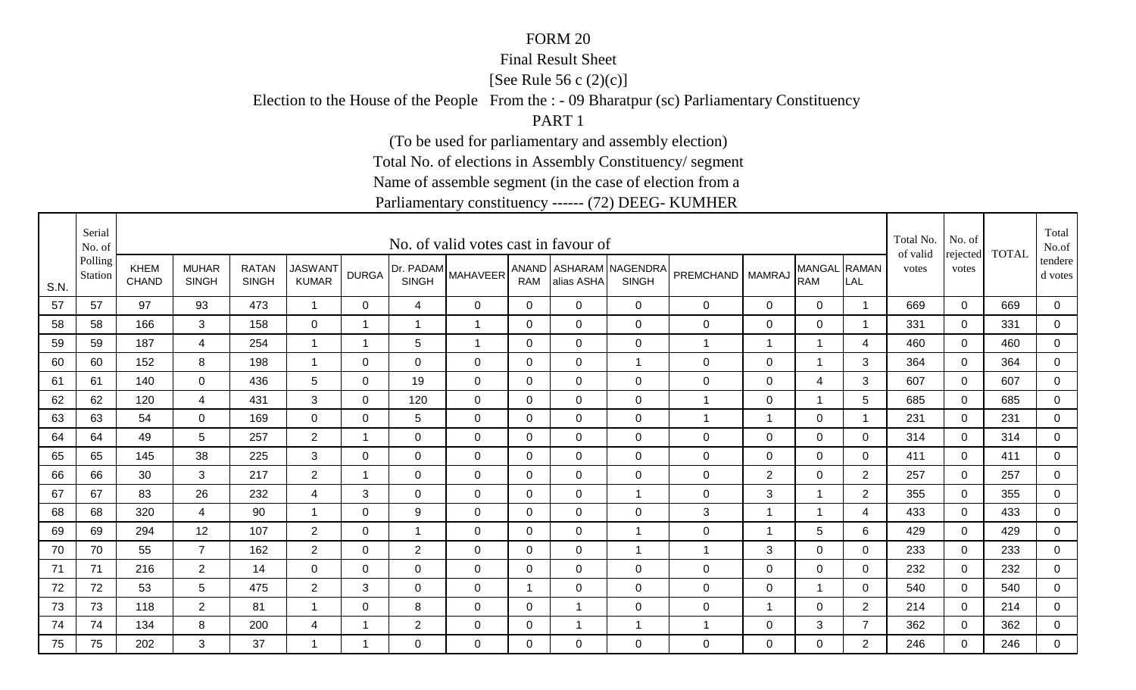#### Final Result Sheet

[See Rule 56 c (2)(c)]

Election to the House of the People From the : - 09 Bharatpur (sc) Parliamentary Constituency

PART 1

(To be used for parliamentary and assembly election)

Total No. of elections in Assembly Constituency/ segment

Name of assemble segment (in the case of election from a

|      | Serial<br>No. of   |                      |                              |                              |                                |                          |                | No. of valid votes cast in favour of |                |                |                                          |                    |                          |                            |                         | Total No.<br>of valid | No. of            | <b>TOTAL</b> | Total<br>No.of     |
|------|--------------------|----------------------|------------------------------|------------------------------|--------------------------------|--------------------------|----------------|--------------------------------------|----------------|----------------|------------------------------------------|--------------------|--------------------------|----------------------------|-------------------------|-----------------------|-------------------|--------------|--------------------|
| S.N. | Polling<br>Station | KHEM<br><b>CHAND</b> | <b>MUHAR</b><br><b>SINGH</b> | <b>RATAN</b><br><b>SINGH</b> | <b>JASWANT</b><br><b>KUMAR</b> | <b>DURGA</b>             | <b>SINGH</b>   | [Dr. PADAM MAHAVEER <sup>'</sup>     | <b>RAM</b>     | alias ASHA     | ANAND   ASHARAM NAGENDRA<br><b>SINGH</b> | PREMCHAND   MAMRAJ |                          | MANGAL RAMAN<br><b>RAM</b> | LAL                     | votes                 | rejected<br>votes |              | tendere<br>d votes |
| 57   | 57                 | 97                   | 93                           | 473                          | $\overline{1}$                 | 0                        | 4              | 0                                    | 0              | $\mathbf 0$    | $\mathbf 0$                              | 0                  | $\mathsf 0$              | $\mathbf 0$                | $\overline{\mathbf{1}}$ | 669                   | $\mathbf 0$       | 669          | 0                  |
| 58   | 58                 | 166                  | 3                            | 158                          | 0                              | $\overline{\phantom{a}}$ | $\mathbf{1}$   | $\overline{1}$                       | 0              | $\overline{0}$ | $\mathbf 0$                              | 0                  | $\mathsf 0$              | $\mathbf 0$                | -1                      | 331                   | $\mathbf 0$       | 331          | $\mathsf 0$        |
| 59   | 59                 | 187                  | 4                            | 254                          | $\mathbf{1}$                   | -1                       | 5              | $\overline{1}$                       | 0              | $\mathbf 0$    | $\mathbf 0$                              | $\mathbf 1$        | 1                        | $\mathbf 1$                | 4                       | 460                   | 0                 | 460          | 0                  |
| 60   | 60                 | 152                  | 8                            | 198                          | $\overline{1}$                 | $\Omega$                 | $\overline{0}$ | $\mathbf 0$                          | $\mathbf 0$    | $\mathbf 0$    | $\overline{1}$                           | 0                  | $\mathsf 0$              | $\overline{1}$             | 3                       | 364                   | $\mathbf 0$       | 364          | $\mathbf 0$        |
| 61   | 61                 | 140                  | $\Omega$                     | 436                          | 5                              | $\Omega$                 | 19             | $\mathbf 0$                          | $\mathbf 0$    | $\overline{0}$ | $\overline{0}$                           | 0                  | $\mathbf 0$              | $\overline{4}$             | 3                       | 607                   | $\Omega$          | 607          | $\mathbf 0$        |
| 62   | 62                 | 120                  | 4                            | 431                          | 3                              | 0                        | 120            | $\mathbf 0$                          | $\mathbf 0$    | $\mathbf 0$    | $\mathbf 0$                              | $\overline{1}$     | $\mathsf 0$              | $\overline{1}$             | 5                       | 685                   | $\mathbf 0$       | 685          | $\mathbf 0$        |
| 63   | 63                 | 54                   | $\mathbf 0$                  | 169                          | $\mathbf 0$                    | 0                        | 5              | $\mathbf 0$                          | $\mathbf 0$    | $\overline{0}$ | $\mathbf 0$                              | $\overline{1}$     | $\overline{\phantom{a}}$ | $\mathbf 0$                | -1                      | 231                   | $\mathbf 0$       | 231          | $\mathbf 0$        |
| 64   | 64                 | 49                   | 5                            | 257                          | $\overline{2}$                 | -1                       | 0              | 0                                    | 0              | $\mathbf 0$    | $\mathbf 0$                              | 0                  | $\mathbf 0$              | $\mathbf 0$                | 0                       | 314                   | 0                 | 314          | $\mathbf 0$        |
| 65   | 65                 | 145                  | 38                           | 225                          | 3                              | 0                        | $\Omega$       | 0                                    | 0              | 0              | 0                                        | 0                  | 0                        | $\mathbf 0$                | 0                       | 411                   | $\Omega$          | 411          | 0                  |
| 66   | 66                 | 30                   | 3                            | 217                          | $\overline{2}$                 | $\overline{\mathbf{A}}$  | $\Omega$       | 0                                    | $\Omega$       | $\Omega$       | $\overline{0}$                           | 0                  | $\overline{2}$           | $\mathbf 0$                | 2                       | 257                   | $\Omega$          | 257          | 0                  |
| 67   | 67                 | 83                   | 26                           | 232                          | 4                              | 3                        | $\Omega$       | 0                                    | 0              | $\Omega$       | $\mathbf{1}$                             | 0                  | 3                        | $\mathbf{1}$               | 2                       | 355                   | $\Omega$          | 355          | $\mathbf 0$        |
| 68   | 68                 | 320                  | 4                            | 90                           | $\overline{\mathbf{1}}$        | 0                        | 9              | $\mathbf 0$                          | 0              | $\mathbf 0$    | $\mathbf 0$                              | 3                  | 1                        | -1                         | 4                       | 433                   | $\Omega$          | 433          | 0                  |
| 69   | 69                 | 294                  | 12                           | 107                          | $\overline{2}$                 | 0                        | $\mathbf{1}$   | 0                                    | 0              | $\mathbf 0$    | $\overline{1}$                           | 0                  | 1                        | $5\phantom{.0}$            | 6                       | 429                   | 0                 | 429          | $\mathbf 0$        |
| 70   | 70                 | 55                   | $\overline{7}$               | 162                          | $\overline{2}$                 | 0                        | $\overline{2}$ | 0                                    | 0              | 0              | $\mathbf{1}$                             | 1                  | 3                        | $\mathbf 0$                | 0                       | 233                   | $\Omega$          | 233          | $\mathbf 0$        |
| 71   | 71                 | 216                  | $\overline{2}$               | 14                           | $\mathbf 0$                    | 0                        | $\mathbf 0$    | $\mathbf 0$                          | 0              | 0              | $\mathbf 0$                              | 0                  | $\mathbf 0$              | $\mathbf 0$                | 0                       | 232                   | 0                 | 232          | $\mathbf 0$        |
| 72   | 72                 | 53                   | 5                            | 475                          | $\overline{2}$                 | 3                        | 0              | $\mathbf 0$                          | $\overline{1}$ | 0              | $\mathbf 0$                              | 0                  | $\mathbf 0$              | $\mathbf{1}$               | $\mathbf 0$             | 540                   | 0                 | 540          | 0                  |
| 73   | 73                 | 118                  | $\overline{2}$               | 81                           | -1                             | 0                        | 8              | $\mathbf 0$                          | $\mathbf 0$    | -1             | $\mathbf 0$                              | 0                  | 1                        | $\mathbf 0$                | $\overline{2}$          | 214                   | 0                 | 214          | 0                  |
| 74   | 74                 | 134                  | 8                            | 200                          | $\overline{4}$                 |                          | $\overline{2}$ | 0                                    | $\mathbf 0$    | -1             | $\overline{1}$                           | 1                  | $\mathbf 0$              | 3                          | $\overline{7}$          | 362                   | 0                 | 362          | $\overline{0}$     |
| 75   | 75                 | 202                  | 3                            | 37                           | -1                             | 1                        | $\Omega$       | $\Omega$                             | $\Omega$       | $\Omega$       | $\mathbf 0$                              | 0                  | $\Omega$                 | $\mathbf 0$                | 2                       | 246                   | $\Omega$          | 246          | $\overline{0}$     |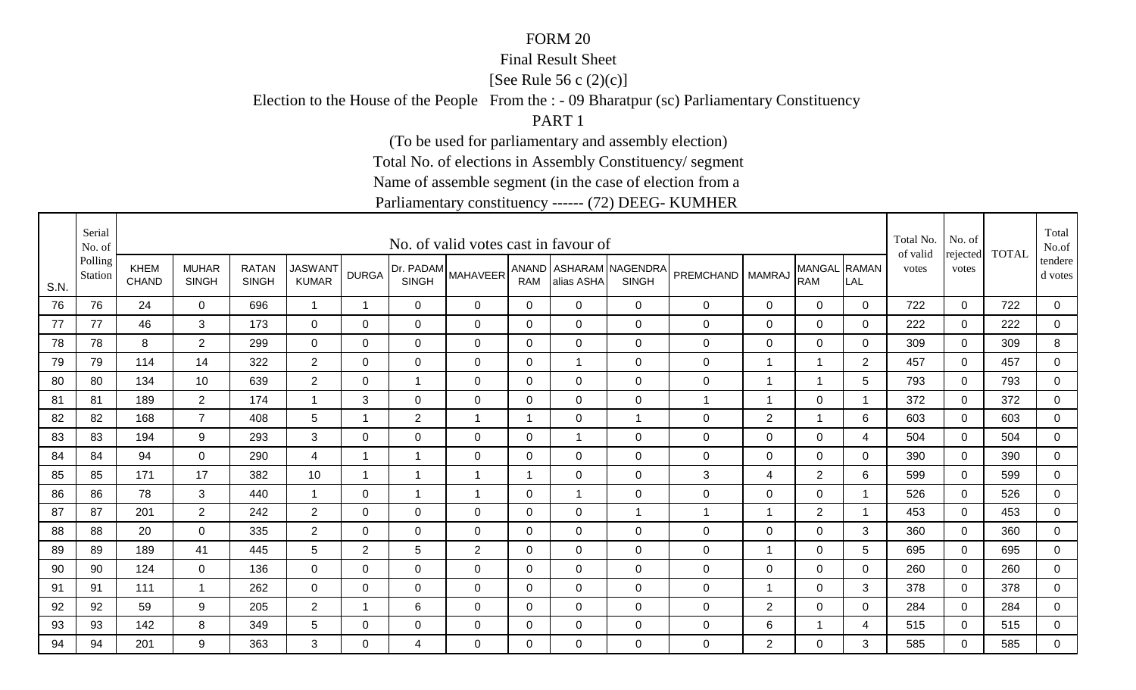#### Final Result Sheet

[See Rule 56 c (2)(c)]

Election to the House of the People From the : - 09 Bharatpur (sc) Parliamentary Constituency

PART 1

(To be used for parliamentary and assembly election)

Total No. of elections in Assembly Constituency/ segment

Name of assemble segment (in the case of election from a

|      | Serial<br>No. of   |                             |                              |                              |                                |                         |                | No. of valid votes cast in favour of |                |                |                                          |                  |                |                            |              | Total No.<br>of valid | No. of            | <b>TOTAL</b> | Total<br>No.of     |
|------|--------------------|-----------------------------|------------------------------|------------------------------|--------------------------------|-------------------------|----------------|--------------------------------------|----------------|----------------|------------------------------------------|------------------|----------------|----------------------------|--------------|-----------------------|-------------------|--------------|--------------------|
| S.N. | Polling<br>Station | <b>KHEM</b><br><b>CHAND</b> | <b>MUHAR</b><br><b>SINGH</b> | <b>RATAN</b><br><b>SINGH</b> | <b>JASWANT</b><br><b>KUMAR</b> | <b>DURGA</b>            | <b>SINGH</b>   | [Dr. PADAM MAHAVEER'                 | <b>RAM</b>     | alias ASHA     | ANAND   ASHARAM NAGENDRA<br><b>SINGH</b> | <b>PREMCHAND</b> | <b>MAMRAJ</b>  | MANGAL RAMAN<br><b>RAM</b> | LAL          | votes                 | rejected<br>votes |              | tendere<br>d votes |
| 76   | 76                 | 24                          | $\Omega$                     | 696                          | $\mathbf{1}$                   | -1                      | $\mathbf 0$    | $\mathbf 0$                          | 0              | $\mathbf 0$    | $\mathbf{0}$                             | 0                | 0              | $\mathbf 0$                | $\mathbf 0$  | 722                   | $\Omega$          | 722          | 0                  |
| 77   | 77                 | 46                          | 3                            | 173                          | $\mathbf 0$                    | 0                       | $\mathbf 0$    | $\mathbf 0$                          | $\mathbf 0$    | $\mathbf 0$    | $\mathbf 0$                              | 0                | $\mathsf 0$    | $\mathbf 0$                | 0            | 222                   | 0                 | 222          | $\overline{0}$     |
| 78   | 78                 | 8                           | $\overline{2}$               | 299                          | $\mathbf 0$                    | 0                       | 0              | 0                                    | 0              | $\mathbf 0$    | $\mathbf 0$                              | $\mathbf 0$      | $\mathbf 0$    | $\mathbf 0$                | $\mathbf 0$  | 309                   | 0                 | 309          | 8                  |
| 79   | 79                 | 114                         | 14                           | 322                          | $\overline{2}$                 | 0                       | 0              | 0                                    | 0              | $\overline{1}$ | $\overline{0}$                           | 0                | 1              | $\mathbf 1$                | 2            | 457                   | 0                 | 457          | 0                  |
| 80   | 80                 | 134                         | 10                           | 639                          | $2^{\circ}$                    | $\Omega$                | $\mathbf{1}$   | $\Omega$                             | $\Omega$       | $\Omega$       | $\mathbf 0$                              | 0                | 1              | $\overline{1}$             | 5            | 793                   | $\Omega$          | 793          | 0                  |
| 81   | 81                 | 189                         | $\overline{2}$               | 174                          | $\mathbf 1$                    | 3                       | 0              | 0                                    | 0              | $\Omega$       | $\mathbf 0$                              | $\mathbf 1$      | 1              | $\mathbf 0$                | $\mathbf 1$  | 372                   | 0                 | 372          | $\mathbf 0$        |
| 82   | 82                 | 168                         | $\overline{7}$               | 408                          | 5                              | $\overline{\mathbf{1}}$ | $\overline{2}$ | $\overline{1}$                       | $\overline{1}$ | $\mathbf{0}$   | $\mathbf{1}$                             | 0                | $\overline{2}$ | $\overline{1}$             | 6            | 603                   | $\Omega$          | 603          | 0                  |
| 83   | 83                 | 194                         | 9                            | 293                          | 3                              | 0                       | 0              | 0                                    | $\mathbf 0$    | -1             | $\mathbf 0$                              | 0                | $\mathbf 0$    | $\mathbf 0$                | 4            | 504                   | 0                 | 504          | $\mathbf 0$        |
| 84   | 84                 | 94                          | $\mathbf 0$                  | 290                          | 4                              | -1                      | $\mathbf 1$    | $\mathbf 0$                          | 0              | $\mathbf 0$    | $\mathbf 0$                              | 0                | $\mathsf 0$    | $\mathbf 0$                | 0            | 390                   | $\mathbf 0$       | 390          | 0                  |
| 85   | 85                 | 171                         | 17                           | 382                          | 10                             | $\overline{\mathbf{1}}$ | $\mathbf{1}$   | $\overline{1}$                       | $\overline{1}$ | $\overline{0}$ | $\mathbf 0$                              | 3                | 4              | $\overline{2}$             | 6            | 599                   | $\mathbf 0$       | 599          | $\mathbf 0$        |
| 86   | 86                 | 78                          | 3                            | 440                          | $\overline{1}$                 | 0                       | $\mathbf{1}$   | $\overline{1}$                       | $\mathbf 0$    | -1             | $\mathbf 0$                              | 0                | $\mathsf 0$    | $\mathbf 0$                |              | 526                   | $\mathbf 0$       | 526          | $\mathbf 0$        |
| 87   | 87                 | 201                         | $\overline{2}$               | 242                          | $\overline{2}$                 | $\Omega$                | $\overline{0}$ | $\mathbf 0$                          | $\mathbf 0$    | $\overline{0}$ | $\mathbf{1}$                             | $\overline{1}$   | 1              | $\overline{2}$             | -1           | 453                   | $\Omega$          | 453          | 0                  |
| 88   | 88                 | 20                          | $\mathbf 0$                  | 335                          | $2^{\circ}$                    | 0                       | 0              | 0                                    | $\mathbf 0$    | $\mathbf 0$    | $\mathbf 0$                              | 0                | $\mathsf 0$    | $\overline{0}$             | 3            | 360                   | 0                 | 360          | $\overline{0}$     |
| 89   | 89                 | 189                         | 41                           | 445                          | 5                              | $\overline{2}$          | 5              | $\overline{2}$                       | 0              | $\mathbf 0$    | $\overline{0}$                           | 0                | 1              | $\mathbf 0$                | 5            | 695                   | $\Omega$          | 695          | 0                  |
| 90   | 90                 | 124                         | $\mathbf 0$                  | 136                          | $\overline{0}$                 | $\Omega$                | $\overline{0}$ | $\mathbf 0$                          | $\Omega$       | 0              | $\mathbf 0$                              | 0                | $\mathsf 0$    | $\mathbf 0$                | $\mathbf{0}$ | 260                   | $\mathbf 0$       | 260          | $\mathbf 0$        |
| 91   | 91                 | 111                         | $\overline{\mathbf{1}}$      | 262                          | $\mathbf 0$                    | 0                       | 0              | $\mathbf 0$                          | $\mathbf 0$    | $\mathbf 0$    | $\mathbf 0$                              | 0                | $\overline{1}$ | $\mathbf 0$                | 3            | 378                   | 0                 | 378          | $\mathbf 0$        |
| 92   | 92                 | 59                          | 9                            | 205                          | $\overline{2}$                 | -1                      | 6              | $\Omega$                             | 0              | $\Omega$       | $\mathbf 0$                              | 0                | $\overline{2}$ | $\mathbf 0$                | $\mathbf 0$  | 284                   | $\Omega$          | 284          | 0                  |
| 93   | 93                 | 142                         | 8                            | 349                          | 5                              | 0                       | 0              | 0                                    | 0              | 0              | $\mathbf 0$                              | 0                | 6              | $\mathbf 1$                | 4            | 515                   | 0                 | 515          | 0                  |
| 94   | 94                 | 201                         | 9                            | 363                          | 3                              | 0                       | 4              | $\Omega$                             | $\Omega$       | $\Omega$       | $\overline{0}$                           | 0                | $\overline{2}$ | $\mathbf 0$                | 3            | 585                   | $\Omega$          | 585          | 0                  |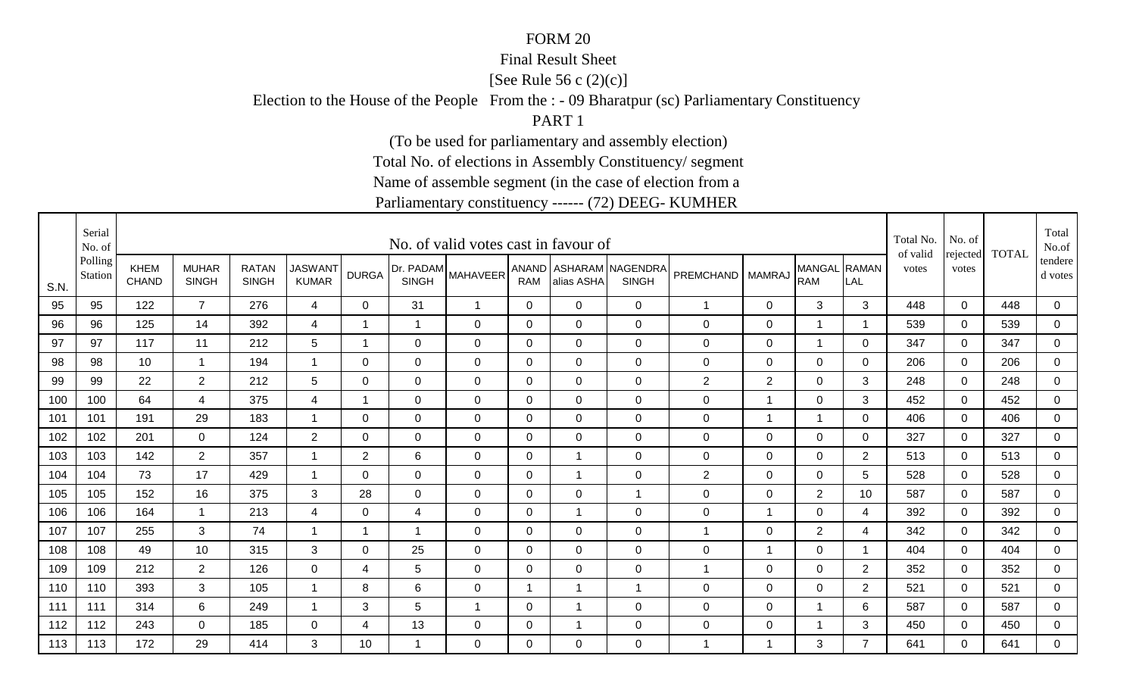#### Final Result Sheet

[See Rule 56 c (2)(c)]

Election to the House of the People From the : - 09 Bharatpur (sc) Parliamentary Constituency

PART 1

(To be used for parliamentary and assembly election)

Total No. of elections in Assembly Constituency/ segment

Name of assemble segment (in the case of election from a

|      | Serial<br>No. of   |                      |                              |                              |                                |                          |                | No. of valid votes cast in favour of |                |                |                                          |                    |                          |                            |                | Total No.<br>of valid | No. of            | <b>TOTAL</b> | Total<br>No.of     |
|------|--------------------|----------------------|------------------------------|------------------------------|--------------------------------|--------------------------|----------------|--------------------------------------|----------------|----------------|------------------------------------------|--------------------|--------------------------|----------------------------|----------------|-----------------------|-------------------|--------------|--------------------|
| S.N. | Polling<br>Station | KHEM<br><b>CHAND</b> | <b>MUHAR</b><br><b>SINGH</b> | <b>RATAN</b><br><b>SINGH</b> | <b>JASWANT</b><br><b>KUMAR</b> | <b>DURGA</b>             | <b>SINGH</b>   | (Dr. PADAM MAHAVEER'                 | <b>RAM</b>     | alias ASHA     | ANAND   ASHARAM NAGENDRA<br><b>SINGH</b> | PREMCHAND   MAMRAJ |                          | MANGAL RAMAN<br><b>RAM</b> | LAL            | votes                 | rejected<br>votes |              | tendere<br>d votes |
| 95   | 95                 | 122                  | $\overline{7}$               | 276                          | $\overline{4}$                 | 0                        | 31             | $\overline{\mathbf{1}}$              | 0              | $\mathbf 0$    | $\mathbf 0$                              | $\overline{1}$     | $\mathbf 0$              | 3                          | 3              | 448                   | $\mathbf 0$       | 448          | 0                  |
| 96   | 96                 | 125                  | 14                           | 392                          | 4                              | $\overline{\phantom{a}}$ | $\mathbf{1}$   | $\mathbf 0$                          | 0              | $\Omega$       | $\mathbf 0$                              | 0                  | $\mathbf 0$              | $\overline{1}$             | -1             | 539                   | $\mathbf 0$       | 539          | $\mathbf 0$        |
| 97   | 97                 | 117                  | 11                           | 212                          | 5                              | -1                       | 0              | 0                                    | 0              | $\mathbf 0$    | $\mathbf 0$                              | 0                  | $\mathbf 0$              | $\overline{1}$             | $\mathbf 0$    | 347                   | 0                 | 347          | $\mathbf 0$        |
| 98   | 98                 | 10                   | -1                           | 194                          | $\overline{1}$                 | $\Omega$                 | $\Omega$       | $\mathbf 0$                          | $\mathbf 0$    | $\overline{0}$ | $\overline{0}$                           | 0                  | $\mathsf 0$              | $\mathbf 0$                | 0              | 206                   | $\Omega$          | 206          | $\mathbf 0$        |
| 99   | 99                 | 22                   | $\overline{2}$               | 212                          | 5                              | $\Omega$                 | $\overline{0}$ | $\mathbf 0$                          | $\mathbf 0$    | $\overline{0}$ | $\overline{0}$                           | $\overline{2}$     | $\overline{2}$           | $\mathbf 0$                | 3              | 248                   | $\Omega$          | 248          | $\mathbf 0$        |
| 100  | 100                | 64                   | 4                            | 375                          | 4                              | $\overline{ }$           | $\mathbf 0$    | $\mathbf 0$                          | $\mathbf 0$    | $\mathbf 0$    | $\mathbf 0$                              | 0                  | $\overline{1}$           | $\mathbf 0$                | 3              | 452                   | $\mathbf 0$       | 452          | $\mathbf 0$        |
| 101  | 101                | 191                  | 29                           | 183                          | $\overline{\mathbf{1}}$        | 0                        | $\mathbf 0$    | $\mathbf 0$                          | $\mathbf 0$    | $\overline{0}$ | $\mathbf 0$                              | 0                  | $\overline{\phantom{a}}$ | $\overline{1}$             | $\mathbf{0}$   | 406                   | $\Omega$          | 406          | $\mathbf 0$        |
| 102  | 102                | 201                  | 0                            | 124                          | $\overline{2}$                 | 0                        | 0              | 0                                    | 0              | $\mathbf 0$    | $\mathbf 0$                              | 0                  | $\mathbf 0$              | $\mathbf 0$                | $\mathbf 0$    | 327                   | 0                 | 327          | $\mathbf 0$        |
| 103  | 103                | 142                  | $\overline{2}$               | 357                          | -1                             | 2                        | 6              | 0                                    | 0              | -1             | 0                                        | 0                  | 0                        | $\mathbf 0$                | 2              | 513                   | $\Omega$          | 513          | 0                  |
| 104  | 104                | 73                   | 17                           | 429                          | $\overline{1}$                 | $\Omega$                 | $\Omega$       | 0                                    | 0              | $\overline{1}$ | $\overline{0}$                           | $\overline{2}$     | 0                        | $\mathbf 0$                | 5              | 528                   | $\Omega$          | 528          | 0                  |
| 105  | 105                | 152                  | 16                           | 375                          | 3                              | 28                       | 0              | 0                                    | 0              | $\Omega$       | $\mathbf{1}$                             | 0                  | 0                        | 2                          | 10             | 587                   | $\Omega$          | 587          | $\mathbf 0$        |
| 106  | 106                | 164                  | -1                           | 213                          | 4                              | 0                        | 4              | $\mathbf 0$                          | 0              | -1             | $\mathbf 0$                              | 0                  | 1                        | $\mathbf 0$                | 4              | 392                   | $\Omega$          | 392          | 0                  |
| 107  | 107                | 255                  | 3                            | 74                           | $\overline{1}$                 | $\overline{\phantom{a}}$ | $\mathbf 1$    | 0                                    | 0              | $\mathbf 0$    | $\mathbf 0$                              | 1                  | $\mathbf 0$              | $\overline{2}$             | 4              | 342                   | 0                 | 342          | $\mathbf 0$        |
| 108  | 108                | 49                   | 10                           | 315                          | 3                              | 0                        | 25             | 0                                    | 0              | 0              | $\mathbf 0$                              | 0                  | -1                       | $\mathbf 0$                | 1              | 404                   | $\Omega$          | 404          | 0                  |
| 109  | 109                | 212                  | $\overline{2}$               | 126                          | 0                              | 4                        | 5              | $\mathbf 0$                          | 0              | 0              | $\mathbf 0$                              | -1                 | $\mathbf 0$              | $\mathbf 0$                | 2              | 352                   | 0                 | 352          | $\mathbf 0$        |
| 110  | 110                | 393                  | 3                            | 105                          | $\mathbf 1$                    | 8                        | 6              | $\mathbf 0$                          | $\overline{1}$ | -1             | $\mathbf{1}$                             | 0                  | $\mathbf 0$              | $\mathbf 0$                | $\overline{2}$ | 521                   | 0                 | 521          | 0                  |
| 111  | 111                | 314                  | 6                            | 249                          | -1                             | 3                        | 5              | $\overline{\mathbf{1}}$              | $\mathbf 0$    | -1             | $\mathbf 0$                              | 0                  | $\mathbf 0$              | $\overline{1}$             | 6              | 587                   | 0                 | 587          | 0                  |
| 112  | 112                | 243                  | 0                            | 185                          | 0                              | 4                        | 13             | 0                                    | $\mathbf 0$    | -1             | $\mathbf 0$                              | 0                  | $\pmb{0}$                | $\overline{1}$             | 3              | 450                   | 0                 | 450          | $\mathbf 0$        |
| 113  | 113                | 172                  | 29                           | 414                          | 3                              | 10                       | 1              | $\Omega$                             | $\Omega$       | $\Omega$       | $\mathbf 0$                              | 1                  | -1                       | 3                          | $\overline{7}$ | 641                   | $\Omega$          | 641          | 0                  |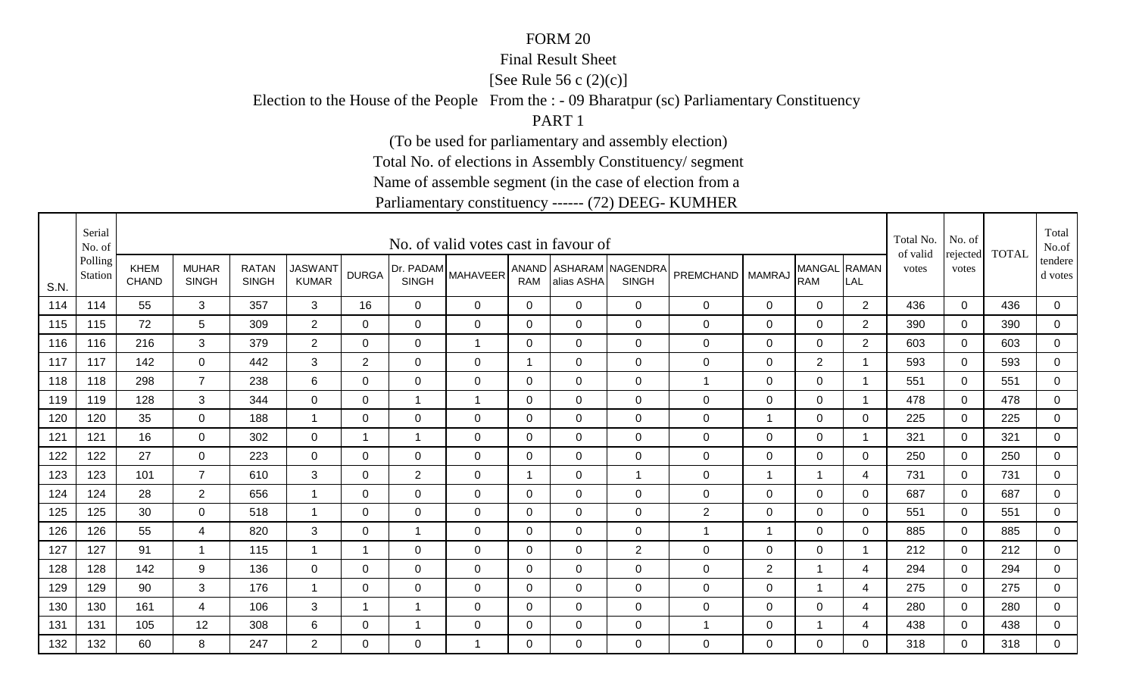#### Final Result Sheet

[See Rule 56 c (2)(c)]

Election to the House of the People From the : - 09 Bharatpur (sc) Parliamentary Constituency

PART 1

(To be used for parliamentary and assembly election)

Total No. of elections in Assembly Constituency/ segment

Name of assemble segment (in the case of election from a

|      | Serial<br>No. of   |                             |                              |                              |                                |                          |                | No. of valid votes cast in favour of |             |                |                                          |                      |                          |                            |                | Total No.<br>of valid | No. of            | <b>TOTAL</b> | Total<br>No.of     |
|------|--------------------|-----------------------------|------------------------------|------------------------------|--------------------------------|--------------------------|----------------|--------------------------------------|-------------|----------------|------------------------------------------|----------------------|--------------------------|----------------------------|----------------|-----------------------|-------------------|--------------|--------------------|
| S.N. | Polling<br>Station | <b>KHEM</b><br><b>CHAND</b> | <b>MUHAR</b><br><b>SINGH</b> | <b>RATAN</b><br><b>SINGH</b> | <b>JASWANT</b><br><b>KUMAR</b> | <b>DURGA</b>             | <b>SINGH</b>   | (Dr. PADAM MAHAVEER'                 | <b>RAM</b>  | alias ASHA     | ANAND   ASHARAM NAGENDRA<br><b>SINGH</b> | PREMCHAND   MAMRAJ   |                          | MANGAL RAMAN<br><b>RAM</b> | LAL            | votes                 | rejected<br>votes |              | tendere<br>d votes |
| 114  | 114                | 55                          | 3                            | 357                          | 3                              | 16                       | $\overline{0}$ | 0                                    | 0           | $\mathbf 0$    | $\mathbf 0$                              | 0                    | $\mathbf 0$              | $\mathbf 0$                | 2              | 436                   | $\mathbf 0$       | 436          | 0                  |
| 115  | 115                | 72                          | 5                            | 309                          | $\overline{2}$                 | $\Omega$                 | $\overline{0}$ | $\mathbf 0$                          | 0           | $\Omega$       | $\mathbf 0$                              | 0                    | $\mathbf 0$              | $\mathbf 0$                | 2              | 390                   | $\mathbf 0$       | 390          | $\mathbf 0$        |
| 116  | 116                | 216                         | 3                            | 379                          | $2^{\circ}$                    | 0                        | 0              | $\overline{1}$                       | 0           | $\mathbf 0$    | $\mathbf 0$                              | 0                    | $\mathbf 0$              | $\mathbf 0$                | $\overline{2}$ | 603                   | 0                 | 603          | $\mathbf 0$        |
| 117  | 117                | 142                         | $\overline{0}$               | 442                          | 3                              | $\overline{2}$           | $\overline{0}$ | $\mathbf 0$                          | $\mathbf 1$ | $\mathbf 0$    | $\overline{0}$                           | 0                    | $\mathbf 0$              | $\overline{2}$             |                | 593                   | $\mathbf 0$       | 593          | $\mathbf 0$        |
| 118  | 118                | 298                         | $\overline{7}$               | 238                          | 6                              | $\Omega$                 | $\overline{0}$ | $\mathbf 0$                          | $\Omega$    | $\Omega$       | $\overline{0}$                           | $\blacktriangleleft$ | $\mathbf 0$              | $\mathbf 0$                | -1             | 551                   | $\Omega$          | 551          | $\mathbf 0$        |
| 119  | 119                | 128                         | 3                            | 344                          | $\overline{0}$                 | 0                        | $\mathbf{1}$   | 1                                    | $\mathbf 0$ | $\mathbf 0$    | $\mathbf 0$                              | 0                    | $\mathsf 0$              | $\mathbf 0$                | $\overline{1}$ | 478                   | $\mathbf 0$       | 478          | $\mathbf 0$        |
| 120  | 120                | 35                          | $\mathbf 0$                  | 188                          | $\overline{1}$                 | 0                        | $\overline{0}$ | $\mathbf 0$                          | $\mathbf 0$ | $\overline{0}$ | $\mathbf 0$                              | 0                    | $\overline{\phantom{a}}$ | $\mathbf 0$                | $\mathbf{0}$   | 225                   | $\Omega$          | 225          | $\mathbf 0$        |
| 121  | 121                | 16                          | 0                            | 302                          | $\mathbf 0$                    | -1                       | $\mathbf{1}$   | 0                                    | 0           | $\mathbf 0$    | $\mathbf 0$                              | 0                    | $\mathbf 0$              | $\mathbf 0$                | 1              | 321                   | 0                 | 321          | $\mathbf 0$        |
| 122  | 122                | 27                          | 0                            | 223                          | $\mathbf 0$                    | 0                        | $\Omega$       | 0                                    | 0           | 0              | 0                                        | 0                    | 0                        | $\mathbf 0$                | 0              | 250                   | $\Omega$          | 250          | 0                  |
| 123  | 123                | 101                         | $\overline{7}$               | 610                          | 3                              | $\Omega$                 | $\overline{2}$ | 0                                    | $\mathbf 1$ | $\mathbf 0$    | $\overline{1}$                           | 0                    | 1                        | $\overline{1}$             | 4              | 731                   | $\Omega$          | 731          | 0                  |
| 124  | 124                | 28                          | $\overline{2}$               | 656                          | $\overline{1}$                 | $\Omega$                 | $\Omega$       | 0                                    | 0           | $\Omega$       | $\overline{0}$                           | 0                    | $\mathbf 0$              | $\mathbf 0$                | 0              | 687                   | $\Omega$          | 687          | $\mathbf 0$        |
| 125  | 125                | 30                          | $\Omega$                     | 518                          | $\overline{\mathbf{1}}$        | 0                        | 0              | $\mathbf 0$                          | 0           | $\mathbf 0$    | $\mathbf 0$                              | $\overline{2}$       | 0                        | $\mathbf 0$                | 0              | 551                   | $\Omega$          | 551          | 0                  |
| 126  | 126                | 55                          | 4                            | 820                          | 3                              | 0                        | $\mathbf{1}$   | 0                                    | 0           | $\mathbf 0$    | $\mathbf 0$                              | 1                    | 1                        | $\mathbf 0$                | $\mathbf 0$    | 885                   | 0                 | 885          | $\mathbf 0$        |
| 127  | 127                | 91                          | -1                           | 115                          | -1                             | 1                        | 0              | 0                                    | 0           | 0              | 2                                        | 0                    | 0                        | $\mathbf 0$                | 1              | 212                   | $\Omega$          | 212          | 0                  |
| 128  | 128                | 142                         | 9                            | 136                          | 0                              | 0                        | 0              | 0                                    | 0           | 0              | $\mathbf 0$                              | 0                    | $\overline{2}$           | $\overline{1}$             | 4              | 294                   | $\Omega$          | 294          | $\mathbf 0$        |
| 129  | 129                | 90                          | 3                            | 176                          | -1                             | 0                        | 0              | $\mathbf 0$                          | $\mathbf 0$ | 0              | $\mathbf 0$                              | 0                    | $\mathbf 0$              | $\mathbf{1}$               | 4              | 275                   | 0                 | 275          | 0                  |
| 130  | 130                | 161                         | 4                            | 106                          | 3                              | $\overline{\phantom{a}}$ | $\mathbf{1}$   | $\mathbf 0$                          | $\mathbf 0$ | $\mathbf 0$    | $\mathbf 0$                              | 0                    | $\mathbf 0$              | $\mathbf 0$                | 4              | 280                   | 0                 | 280          | 0                  |
| 131  | 131                | 105                         | 12                           | 308                          | 6                              | 0                        | $\mathbf 1$    | $\mathbf 0$                          | $\mathbf 0$ | $\mathbf 0$    | $\mathbf 0$                              | 1                    | $\mathbf 0$              | $\overline{1}$             | 4              | 438                   | 0                 | 438          | $\overline{0}$     |
| 132  | 132                | 60                          | 8                            | 247                          | $\overline{2}$                 | $\Omega$                 | $\Omega$       | -1                                   | $\Omega$    | $\Omega$       | $\mathbf 0$                              | 0                    | $\Omega$                 | $\overline{0}$             | $\Omega$       | 318                   | $\Omega$          | 318          | 0                  |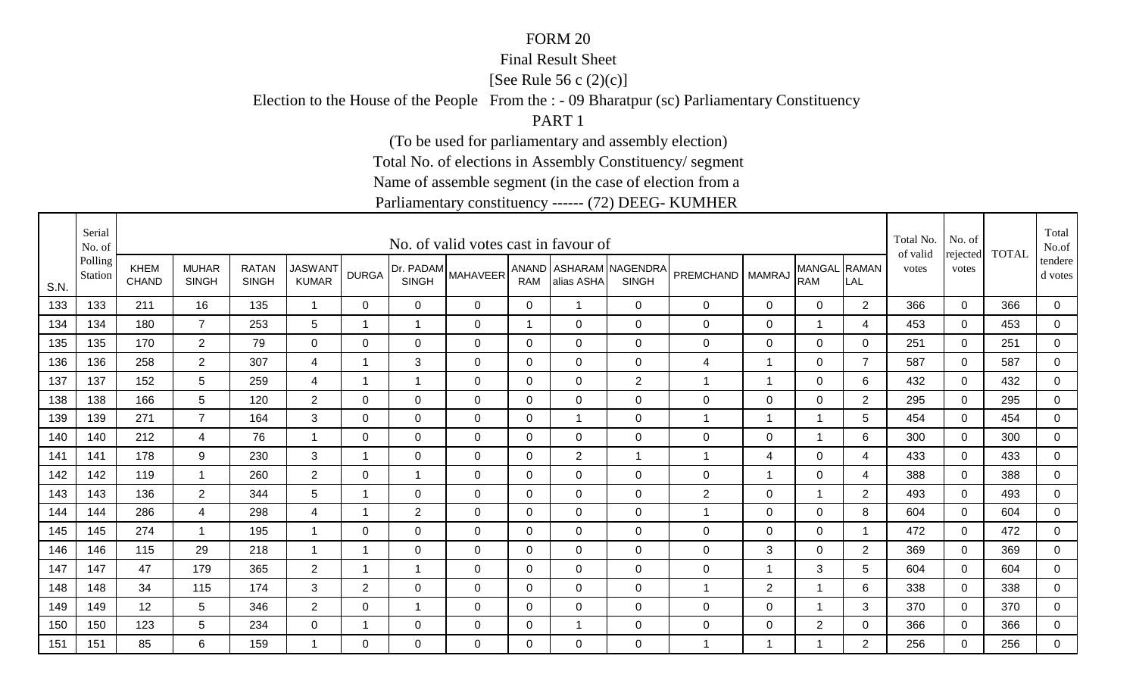#### Final Result Sheet

[See Rule 56 c (2)(c)]

Election to the House of the People From the : - 09 Bharatpur (sc) Parliamentary Constituency

PART 1

(To be used for parliamentary and assembly election)

Total No. of elections in Assembly Constituency/ segment

Name of assemble segment (in the case of election from a

|      | Serial<br>No. of   |                             |                              |                              |                                |                          |                | No. of valid votes cast in favour of |                |                |                                          |                      |                          |                            |                | Total No.<br>of valid | No. of            | <b>TOTAL</b> | Total<br>No.of     |
|------|--------------------|-----------------------------|------------------------------|------------------------------|--------------------------------|--------------------------|----------------|--------------------------------------|----------------|----------------|------------------------------------------|----------------------|--------------------------|----------------------------|----------------|-----------------------|-------------------|--------------|--------------------|
| S.N. | Polling<br>Station | <b>KHEM</b><br><b>CHAND</b> | <b>MUHAR</b><br><b>SINGH</b> | <b>RATAN</b><br><b>SINGH</b> | <b>JASWANT</b><br><b>KUMAR</b> | <b>DURGA</b>             | <b>SINGH</b>   | (Dr. PADAM MAHAVEER'                 | <b>RAM</b>     | alias ASHA     | ANAND   ASHARAM NAGENDRA<br><b>SINGH</b> | PREMCHAND   MAMRAJ   |                          | MANGAL RAMAN<br><b>RAM</b> | LAL            | votes                 | rejected<br>votes |              | tendere<br>d votes |
| 133  | 133                | 211                         | 16                           | 135                          | $\overline{1}$                 | 0                        | $\mathbf 0$    | 0                                    | 0              | $\mathbf 1$    | $\mathbf 0$                              | 0                    | $\mathbf 0$              | $\mathbf 0$                | 2              | 366                   | $\mathbf 0$       | 366          | 0                  |
| 134  | 134                | 180                         | $\overline{7}$               | 253                          | 5                              | $\overline{\phantom{a}}$ | $\mathbf{1}$   | $\mathbf 0$                          | $\overline{1}$ | $\mathbf 0$    | $\mathbf 0$                              | 0                    | $\mathbf 0$              | $\overline{1}$             | 4              | 453                   | $\mathbf 0$       | 453          | $\mathbf 0$        |
| 135  | 135                | 170                         | $2^{\circ}$                  | 79                           | $\mathbf 0$                    | 0                        | 0              | 0                                    | 0              | $\mathbf 0$    | $\mathbf 0$                              | 0                    | $\mathbf 0$              | $\mathbf 0$                | $\mathbf 0$    | 251                   | 0                 | 251          | 0                  |
| 136  | 136                | 258                         | $\overline{2}$               | 307                          | 4                              |                          | 3              | $\mathbf 0$                          | $\mathbf 0$    | $\overline{0}$ | $\overline{0}$                           | 4                    | 1                        | $\mathbf 0$                | $\overline{7}$ | 587                   | $\mathbf 0$       | 587          | $\mathbf 0$        |
| 137  | 137                | 152                         | 5                            | 259                          | 4                              | -1                       | $\mathbf{1}$   | $\mathbf 0$                          | $\mathbf 0$    | $\Omega$       | 2                                        | $\blacktriangleleft$ | 1                        | $\mathbf 0$                | 6              | 432                   | $\Omega$          | 432          | $\mathbf 0$        |
| 138  | 138                | 166                         | 5                            | 120                          | $\overline{2}$                 | 0                        | $\mathbf 0$    | $\mathbf 0$                          | $\mathbf 0$    | $\mathbf 0$    | $\mathbf 0$                              | 0                    | $\mathsf 0$              | $\mathbf 0$                | $\overline{2}$ | 295                   | $\mathbf 0$       | 295          | $\mathbf 0$        |
| 139  | 139                | 271                         | $\overline{7}$               | 164                          | 3                              | 0                        | $\mathbf 0$    | $\mathbf 0$                          | $\mathbf 0$    | -1             | $\mathbf 0$                              | $\overline{1}$       | $\overline{\phantom{a}}$ | $\overline{1}$             | 5              | 454                   | $\Omega$          | 454          | $\mathbf 0$        |
| 140  | 140                | 212                         | 4                            | 76                           | $\mathbf 1$                    | 0                        | 0              | 0                                    | 0              | $\mathbf 0$    | $\mathbf 0$                              | 0                    | $\mathbf 0$              | $\mathbf 1$                | 6              | 300                   | 0                 | 300          | $\mathbf 0$        |
| 141  | 141                | 178                         | 9                            | 230                          | 3                              | -1                       | 0              | 0                                    | 0              | $\overline{2}$ | $\mathbf{1}$                             | 1                    | 4                        | $\mathbf 0$                | 4              | 433                   | $\Omega$          | 433          | 0                  |
| 142  | 142                | 119                         | -1                           | 260                          | $\overline{2}$                 | $\Omega$                 | $\mathbf{1}$   | 0                                    | $\Omega$       | $\Omega$       | $\mathbf 0$                              | 0                    | 1                        | $\mathbf 0$                | 4              | 388                   | $\Omega$          | 388          | 0                  |
| 143  | 143                | 136                         | $\overline{2}$               | 344                          | 5                              | $\overline{\phantom{a}}$ | $\Omega$       | 0                                    | 0              | $\Omega$       | $\overline{0}$                           | $\overline{2}$       | $\mathbf 0$              | $\mathbf{1}$               | 2              | 493                   | $\Omega$          | 493          | $\mathbf 0$        |
| 144  | 144                | 286                         | 4                            | 298                          | 4                              | -1                       | $\overline{2}$ | $\mathbf 0$                          | 0              | $\mathbf 0$    | $\mathbf 0$                              | $\blacktriangleleft$ | 0                        | $\mathbf 0$                | 8              | 604                   | $\Omega$          | 604          | 0                  |
| 145  | 145                | 274                         | -1                           | 195                          | $\overline{1}$                 | 0                        | 0              | 0                                    | 0              | $\mathbf 0$    | $\mathbf 0$                              | 0                    | $\mathbf 0$              | $\mathbf 0$                |                | 472                   | 0                 | 472          | $\mathbf 0$        |
| 146  | 146                | 115                         | 29                           | 218                          | -1                             | 1                        | 0              | 0                                    | 0              | 0              | $\mathbf 0$                              | 0                    | 3                        | $\mathbf 0$                | $\overline{2}$ | 369                   | $\Omega$          | 369          | 0                  |
| 147  | 147                | 47                          | 179                          | 365                          | 2                              | $\overline{\phantom{a}}$ | $\mathbf{1}$   | 0                                    | 0              | 0              | $\mathbf 0$                              | 0                    | 1                        | 3                          | 5              | 604                   | $\Omega$          | 604          | $\mathbf 0$        |
| 148  | 148                | 34                          | 115                          | 174                          | 3                              | $\overline{2}$           | 0              | $\mathbf 0$                          | $\mathbf 0$    | 0              | $\mathbf 0$                              | $\overline{1}$       | $\overline{2}$           | $\mathbf{1}$               | 6              | 338                   | 0                 | 338          | 0                  |
| 149  | 149                | 12                          | 5                            | 346                          | $\overline{2}$                 | 0                        | $\mathbf{1}$   | $\mathbf 0$                          | 0              | $\mathbf 0$    | $\mathbf 0$                              | 0                    | $\mathbf 0$              | $\overline{1}$             | 3              | 370                   | 0                 | 370          | 0                  |
| 150  | 150                | 123                         | 5                            | 234                          | $\mathbf 0$                    |                          | 0              | 0                                    | $\mathbf 0$    | -1             | $\mathbf 0$                              | 0                    | $\pmb{0}$                | $\overline{2}$             | 0              | 366                   | 0                 | 366          | $\overline{0}$     |
| 151  | 151                | 85                          | 6                            | 159                          |                                | $\Omega$                 | $\Omega$       | $\Omega$                             | $\Omega$       | $\Omega$       | $\mathbf 0$                              | 1                    | -1                       | $\overline{1}$             | 2              | 256                   | $\Omega$          | 256          | $\Omega$           |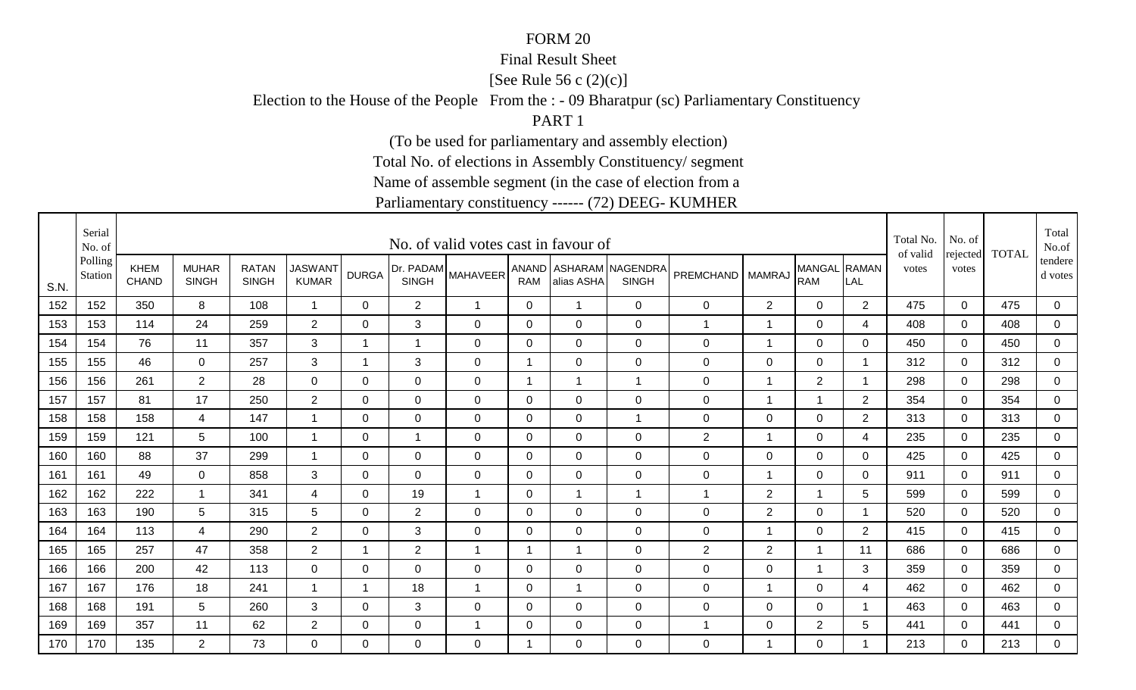#### Final Result Sheet

[See Rule 56 c (2)(c)]

Election to the House of the People From the : - 09 Bharatpur (sc) Parliamentary Constituency

PART 1

(To be used for parliamentary and assembly election)

Total No. of elections in Assembly Constituency/ segment

Name of assemble segment (in the case of election from a

|      | Serial<br>No. of   |                      |                              |                              |                                |              |                | No. of valid votes cast in favour of |                |                |                                          |                    |                |                            |                | Total No.<br>of valid | No. of            | <b>TOTAL</b> | Total<br>No.of     |
|------|--------------------|----------------------|------------------------------|------------------------------|--------------------------------|--------------|----------------|--------------------------------------|----------------|----------------|------------------------------------------|--------------------|----------------|----------------------------|----------------|-----------------------|-------------------|--------------|--------------------|
| S.N. | Polling<br>Station | KHEM<br><b>CHAND</b> | <b>MUHAR</b><br><b>SINGH</b> | <b>RATAN</b><br><b>SINGH</b> | <b>JASWANT</b><br><b>KUMAR</b> | <b>DURGA</b> | <b>SINGH</b>   | (Dr. PADAM MAHAVEER'                 | <b>RAM</b>     | alias ASHA     | ANAND   ASHARAM NAGENDRA<br><b>SINGH</b> | PREMCHAND   MAMRAJ |                | MANGAL RAMAN<br><b>RAM</b> | LAL            | votes                 | rejected<br>votes |              | tendere<br>d votes |
| 152  | 152                | 350                  | 8                            | 108                          | $\overline{1}$                 | 0            | $\overline{2}$ | $\overline{\mathbf{1}}$              | 0              | $\mathbf 1$    | $\mathbf 0$                              | 0                  | $\overline{2}$ | $\mathbf 0$                | 2              | 475                   | $\mathbf 0$       | 475          | $\mathbf 0$        |
| 153  | 153                | 114                  | 24                           | 259                          | $\overline{2}$                 | $\Omega$     | 3              | $\mathbf 0$                          | 0              | $\mathbf{0}$   | $\mathbf 0$                              | $\overline{1}$     | 1              | $\mathbf 0$                | 4              | 408                   | $\mathbf 0$       | 408          | $\mathbf 0$        |
| 154  | 154                | 76                   | 11                           | 357                          | 3                              | -1           | $\mathbf{1}$   | 0                                    | 0              | $\mathbf 0$    | $\mathbf 0$                              | 0                  | 1              | $\mathbf 0$                | $\mathbf 0$    | 450                   | 0                 | 450          | 0                  |
| 155  | 155                | 46                   | $\overline{0}$               | 257                          | 3                              |              | 3              | $\mathbf 0$                          | 1              | 0              | $\overline{0}$                           | 0                  | $\mathsf 0$    | $\mathbf 0$                |                | 312                   | $\Omega$          | 312          | $\mathbf 0$        |
| 156  | 156                | 261                  | $\overline{2}$               | 28                           | $\mathbf 0$                    | $\Omega$     | $\overline{0}$ | $\mathbf 0$                          | $\overline{1}$ | -1             | $\overline{1}$                           | 0                  | 1              | 2                          | -1             | 298                   | $\Omega$          | 298          | $\mathbf 0$        |
| 157  | 157                | 81                   | 17                           | 250                          | $\overline{2}$                 | 0            | $\mathbf 0$    | $\mathbf 0$                          | $\mathbf 0$    | $\overline{0}$ | $\mathbf 0$                              | 0                  | 1              | $\overline{1}$             | 2              | 354                   | $\mathbf 0$       | 354          | $\mathbf 0$        |
| 158  | 158                | 158                  | 4                            | 147                          | $\overline{\mathbf{1}}$        | 0            | $\overline{0}$ | $\mathbf 0$                          | $\mathbf 0$    | $\overline{0}$ | $\mathbf{1}$                             | 0                  | $\mathbf 0$    | $\mathbf 0$                | 2              | 313                   | $\mathbf 0$       | 313          | $\mathbf 0$        |
| 159  | 159                | 121                  | 5                            | 100                          | $\mathbf 1$                    | 0            | $\mathbf{1}$   | 0                                    | 0              | $\mathbf 0$    | $\mathbf 0$                              | $\overline{2}$     | 1              | $\mathbf 0$                | 4              | 235                   | 0                 | 235          | $\mathbf 0$        |
| 160  | 160                | 88                   | 37                           | 299                          | -1                             | 0            | $\Omega$       | 0                                    | 0              | 0              | 0                                        | 0                  | 0              | $\mathbf 0$                | 0              | 425                   | $\Omega$          | 425          | 0                  |
| 161  | 161                | 49                   | $\Omega$                     | 858                          | 3                              | $\Omega$     | $\Omega$       | 0                                    | $\Omega$       | $\Omega$       | $\mathbf 0$                              | 0                  | 1              | 0                          | $\mathbf{0}$   | 911                   | $\Omega$          | 911          | 0                  |
| 162  | 162                | 222                  | $\overline{\mathbf{1}}$      | 341                          | $\overline{4}$                 | $\Omega$     | 19             | $\overline{1}$                       | $\Omega$       | $\overline{1}$ | $\mathbf{1}$                             | $\overline{1}$     | $\overline{2}$ | $\mathbf{1}$               | 5              | 599                   | $\Omega$          | 599          | $\mathbf 0$        |
| 163  | 163                | 190                  | 5                            | 315                          | 5                              | 0            | $\overline{2}$ | $\mathbf 0$                          | 0              | $\mathbf 0$    | $\mathbf 0$                              | 0                  | $\overline{2}$ | $\mathbf 0$                | -1             | 520                   | $\Omega$          | 520          | 0                  |
| 164  | 164                | 113                  | 4                            | 290                          | $\overline{2}$                 | 0            | 3              | 0                                    | 0              | $\mathbf 0$    | $\mathbf 0$                              | 0                  | 1              | $\mathbf 0$                | $\overline{2}$ | 415                   | 0                 | 415          | $\mathbf 0$        |
| 165  | 165                | 257                  | 47                           | 358                          | $\overline{2}$                 | 1            | $\overline{2}$ | 1                                    | 1              | -1             | $\mathbf 0$                              | $\overline{2}$     | $\overline{2}$ | $\overline{1}$             | 11             | 686                   | $\Omega$          | 686          | 0                  |
| 166  | 166                | 200                  | 42                           | 113                          | $\mathbf 0$                    | 0            | $\Omega$       | 0                                    | 0              | 0              | $\mathbf 0$                              | 0                  | $\mathbf 0$    | $\overline{1}$             | 3              | 359                   | $\Omega$          | 359          | $\mathbf 0$        |
| 167  | 167                | 176                  | 18                           | 241                          | -1                             | 1            | 18             | $\overline{1}$                       | 0              | -1             | $\mathbf 0$                              | 0                  | 1              | $\mathbf 0$                | 4              | 462                   | 0                 | 462          | 0                  |
| 168  | 168                | 191                  | 5                            | 260                          | 3                              | 0            | 3              | $\mathbf 0$                          | 0              | $\Omega$       | $\mathbf 0$                              | 0                  | $\mathbf 0$    | $\mathbf 0$                | -1             | 463                   | $\Omega$          | 463          | 0                  |
| 169  | 169                | 357                  | 11                           | 62                           | $\overline{2}$                 | 0            | 0              | $\overline{\phantom{a}}$             | $\mathbf 0$    | $\mathbf 0$    | $\mathbf 0$                              | 1                  | $\mathbf 0$    | $\overline{2}$             | 5              | 441                   | 0                 | 441          | $\overline{0}$     |
| 170  | 170                | 135                  | $\overline{2}$               | 73                           | $\Omega$                       | $\Omega$     | $\Omega$       | $\Omega$                             |                | $\Omega$       | $\mathbf 0$                              | 0                  | 1              | $\mathbf 0$                |                | 213                   | $\Omega$          | 213          | $\Omega$           |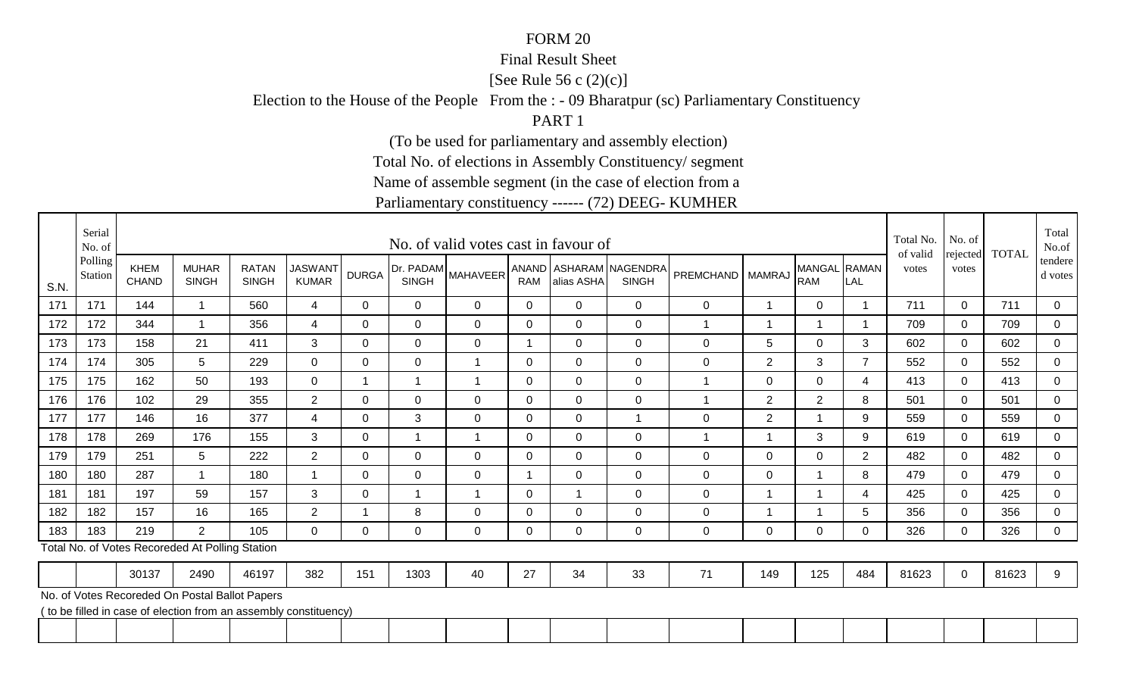#### Final Result Sheet

[See Rule 56 c  $(2)(c)$ ]

Election to the House of the People From the : - 09 Bharatpur (sc) Parliamentary Constituency

PART 1

(To be used for parliamentary and assembly election)

Total No. of elections in Assembly Constituency/ segment

Name of assemble segment (in the case of election from a

|      | Serial<br>No. of   |                      |                                                                  |                              |                                |              |                | No. of valid votes cast in favour of |                |                |                                        |                    |                |                            |                | Total No.<br>of valid | No. of<br>rejected | <b>TOTAL</b> | Total<br>No.of     |
|------|--------------------|----------------------|------------------------------------------------------------------|------------------------------|--------------------------------|--------------|----------------|--------------------------------------|----------------|----------------|----------------------------------------|--------------------|----------------|----------------------------|----------------|-----------------------|--------------------|--------------|--------------------|
| S.N. | Polling<br>Station | KHEM<br><b>CHAND</b> | <b>MUHAR</b><br><b>SINGH</b>                                     | <b>RATAN</b><br><b>SINGH</b> | <b>JASWANT</b><br><b>KUMAR</b> | <b>DURGA</b> | <b>SINGH</b>   | Dr. PADAM MAHAVEER                   | <b>RAM</b>     | alias ASHA     | ANAND ASHARAM NAGENDRA<br><b>SINGH</b> | PREMCHAND   MAMRAJ |                | MANGAL RAMAN<br><b>RAM</b> | LAI            | votes                 | votes              |              | tendere<br>d votes |
| 171  | 171                | 144                  |                                                                  | 560                          | $\overline{4}$                 | $\Omega$     | $\Omega$       | $\Omega$                             | $\Omega$       | $\Omega$       | $\Omega$                               | $\Omega$           | 1              | $\mathbf 0$                |                | 711                   | $\Omega$           | 711          | $\overline{0}$     |
| 172  | 172                | 344                  | $\overline{\mathbf{A}}$                                          | 356                          | $\overline{4}$                 | $\Omega$     | $\overline{0}$ | $\mathbf 0$                          | $\overline{0}$ | $\mathbf 0$    | $\mathbf 0$                            |                    | -1             |                            |                | 709                   | $\Omega$           | 709          | $\overline{0}$     |
| 173  | 173                | 158                  | 21                                                               | 411                          | 3                              | $\Omega$     | $\Omega$       | $\Omega$                             | 1              | $\Omega$       | $\mathbf 0$                            | 0                  | 5              | $\mathbf 0$                | 3              | 602                   | $\Omega$           | 602          | $\mathbf 0$        |
| 174  | 174                | 305                  | 5                                                                | 229                          | $\overline{0}$                 | $\Omega$     | $\Omega$       | $\overline{1}$                       | $\Omega$       | $\Omega$       | $\overline{0}$                         | 0                  | $\overline{2}$ | 3                          | $\overline{7}$ | 552                   | $\Omega$           | 552          | $\mathbf 0$        |
| 175  | 175                | 162                  | 50                                                               | 193                          | $\overline{0}$                 |              | 1              | 1                                    | $\Omega$       | $\overline{0}$ | $\mathbf 0$                            |                    | $\mathbf 0$    | $\mathbf 0$                | 4              | 413                   | $\Omega$           | 413          | $\mathbf 0$        |
| 176  | 176                | 102                  | 29                                                               | 355                          | $\overline{2}$                 | $\Omega$     | $\Omega$       | 0                                    | 0              | $\Omega$       | $\overline{0}$                         |                    | $\overline{2}$ | 2                          | 8              | 501                   | $\Omega$           | 501          | $\overline{0}$     |
| 177  | 177                | 146                  | 16                                                               | 377                          | $\overline{4}$                 | $\Omega$     | 3              | $\mathbf 0$                          | $\Omega$       | $\mathbf 0$    | $\overline{ }$                         | 0                  | $\overline{2}$ |                            | 9              | 559                   | $\mathbf 0$        | 559          | $\overline{0}$     |
| 178  | 178                | 269                  | 176                                                              | 155                          | 3                              | 0            | $\mathbf 1$    | 1                                    | 0              | $\mathbf 0$    | $\mathbf 0$                            | -1                 | -1             | 3                          | 9              | 619                   | 0                  | 619          | $\mathbf 0$        |
| 179  | 179                | 251                  | 5                                                                | 222                          | $\overline{2}$                 | $\Omega$     | $\Omega$       | $\Omega$                             | $\overline{0}$ | $\overline{0}$ | $\mathbf 0$                            | 0                  | $\mathbf 0$    | $\mathbf 0$                | $\overline{2}$ | 482                   | $\Omega$           | 482          | $\mathbf 0$        |
| 180  | 180                | 287                  | $\overline{\mathbf{A}}$                                          | 180                          | $\overline{ }$                 | 0            | $\overline{0}$ | $\mathbf 0$                          | $\overline{1}$ | $\mathbf 0$    | $\mathbf 0$                            | 0                  | $\mathbf 0$    |                            | 8              | 479                   | $\mathbf 0$        | 479          | $\mathbf 0$        |
| 181  | 181                | 197                  | 59                                                               | 157                          | 3                              | 0            | 1              |                                      | $\Omega$       |                | $\mathbf 0$                            | 0                  | 1              |                            | 4              | 425                   | $\Omega$           | 425          | $\overline{0}$     |
| 182  | 182                | 157                  | 16                                                               | 165                          | $\overline{2}$                 |              | 8              | $\Omega$                             | $\Omega$       | $\Omega$       | $\Omega$                               | 0                  | 1              |                            | 5              | 356                   | $\Omega$           | 356          | $\mathbf 0$        |
| 183  | 183                | 219                  | $\overline{2}$                                                   | 105                          | $\mathbf 0$                    | $\Omega$     | $\Omega$       | 0                                    | 0              | 0              | $\mathbf 0$                            | 0                  | 0              | $\boldsymbol{0}$           | $\Omega$       | 326                   | $\Omega$           | 326          | $\mathbf 0$        |
|      |                    |                      | Total No. of Votes Recoreded At Polling Station                  |                              |                                |              |                |                                      |                |                |                                        |                    |                |                            |                |                       |                    |              |                    |
|      |                    | 30137                | 2490                                                             | 46197                        | 382                            | 151          | 1303           | 40                                   | 27             | 34             | 33                                     | 71                 | 149            | 125                        | 484            | 81623                 | 0                  | 81623        | 9                  |
|      |                    |                      | No. of Votes Recoreded On Postal Ballot Papers                   |                              |                                |              |                |                                      |                |                |                                        |                    |                |                            |                |                       |                    |              |                    |
|      |                    |                      | (to be filled in case of election from an assembly constituency) |                              |                                |              |                |                                      |                |                |                                        |                    |                |                            |                |                       |                    |              |                    |
|      |                    |                      |                                                                  |                              |                                |              |                |                                      |                |                |                                        |                    |                |                            |                |                       |                    |              |                    |